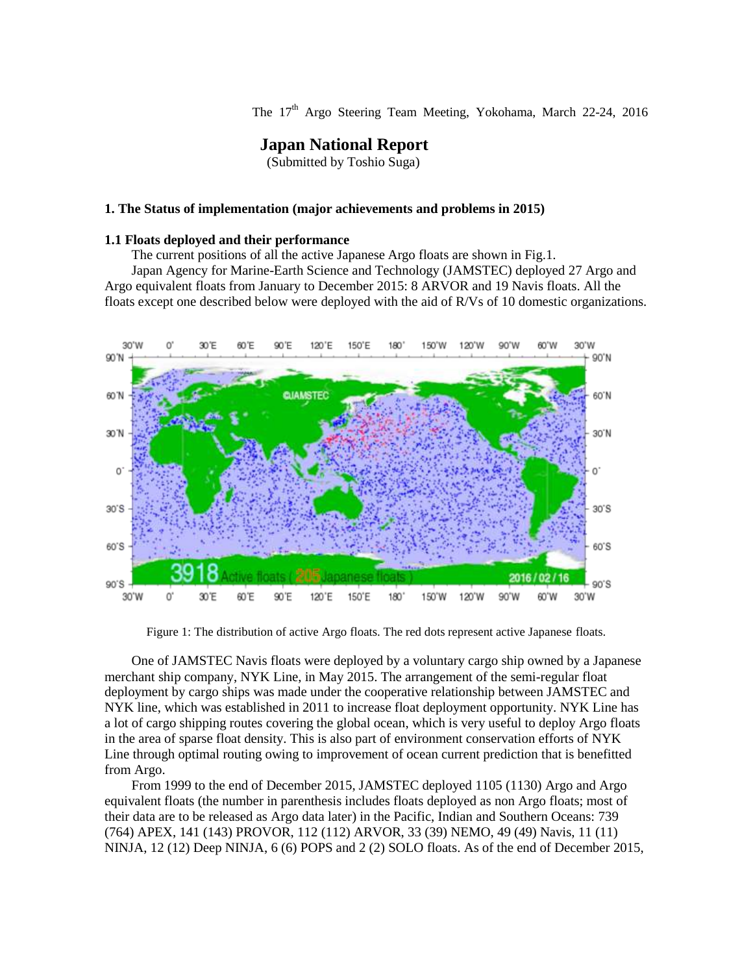The 17<sup>th</sup> Argo Steering Team Meeting, Yokohama, March 22-24, 2016

# **Japan National Report**

(Submitted by Toshio Suga)

#### **1. The Status of implementation (major achievements and problems in 2015)**

#### **1.1 Floats deployed and their performance**

The current positions of all the active Japanese Argo floats are shown in Fig.1.

Japan Agency for Marine-Earth Science and Technology (JAMSTEC) deployed 27 Argo and Argo equivalent floats from January to December 2015: 8 ARVOR and 19 Navis floats. All the floats except one described below were deployed with the aid of R/Vs of 10 domestic organizations.



Figure 1: The distribution of active Argo floats. The red dots represent active Japanese floats.

One of JAMSTEC Navis floats were deployed by a voluntary cargo ship owned by a Japanese merchant ship company, NYK Line, in May 2015. The arrangement of the semi-regular float deployment by cargo ships was made under the cooperative relationship between JAMSTEC and NYK line, which was established in 2011 to increase float deployment opportunity. NYK Line has a lot of cargo shipping routes covering the global ocean, which is very useful to deploy Argo floats in the area of sparse float density. This is also part of environment conservation efforts of NYK Line through optimal routing owing to improvement of ocean current prediction that is benefitted from Argo.

From 1999 to the end of December 2015, JAMSTEC deployed 1105 (1130) Argo and Argo equivalent floats (the number in parenthesis includes floats deployed as non Argo floats; most of their data are to be released as Argo data later) in the Pacific, Indian and Southern Oceans: 739 (764) APEX, 141 (143) PROVOR, 112 (112) ARVOR, 33 (39) NEMO, 49 (49) Navis, 11 (11) NINJA, 12 (12) Deep NINJA, 6 (6) POPS and 2 (2) SOLO floats. As of the end of December 2015,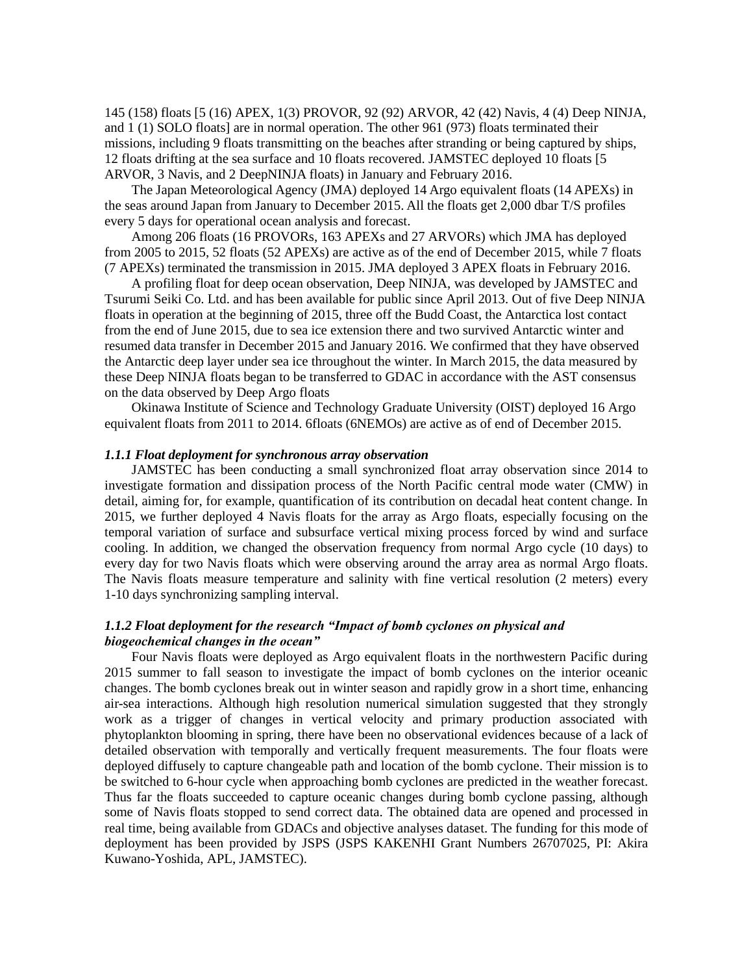145 (158) floats [5 (16) APEX, 1(3) PROVOR, 92 (92) ARVOR, 42 (42) Navis, 4 (4) Deep NINJA, and 1 (1) SOLO floats] are in normal operation. The other 961 (973) floats terminated their missions, including 9 floats transmitting on the beaches after stranding or being captured by ships, 12 floats drifting at the sea surface and 10 floats recovered. JAMSTEC deployed 10 floats [5 ARVOR, 3 Navis, and 2 DeepNINJA floats) in January and February 2016.

The Japan Meteorological Agency (JMA) deployed 14 Argo equivalent floats (14 APEXs) in the seas around Japan from January to December 2015. All the floats get 2,000 dbar T/S profiles every 5 days for operational ocean analysis and forecast.

Among 206 floats (16 PROVORs, 163 APEXs and 27 ARVORs) which JMA has deployed from 2005 to 2015, 52 floats (52 APEXs) are active as of the end of December 2015, while 7 floats (7 APEXs) terminated the transmission in 2015. JMA deployed 3 APEX floats in February 2016.

A profiling float for deep ocean observation, Deep NINJA, was developed by JAMSTEC and Tsurumi Seiki Co. Ltd. and has been available for public since April 2013. Out of five Deep NINJA floats in operation at the beginning of 2015, three off the Budd Coast, the Antarctica lost contact from the end of June 2015, due to sea ice extension there and two survived Antarctic winter and resumed data transfer in December 2015 and January 2016. We confirmed that they have observed the Antarctic deep layer under sea ice throughout the winter. In March 2015, the data measured by these Deep NINJA floats began to be transferred to GDAC in accordance with the AST consensus on the data observed by Deep Argo floats

Okinawa Institute of Science and Technology Graduate University (OIST) deployed 16 Argo equivalent floats from 2011 to 2014. 6floats (6NEMOs) are active as of end of December 2015.

## *1.1.1 Float deployment for synchronous array observation*

JAMSTEC has been conducting a small synchronized float array observation since 2014 to investigate formation and dissipation process of the North Pacific central mode water (CMW) in detail, aiming for, for example, quantification of its contribution on decadal heat content change. In 2015, we further deployed 4 Navis floats for the array as Argo floats, especially focusing on the temporal variation of surface and subsurface vertical mixing process forced by wind and surface cooling. In addition, we changed the observation frequency from normal Argo cycle (10 days) to every day for two Navis floats which were observing around the array area as normal Argo floats. The Navis floats measure temperature and salinity with fine vertical resolution (2 meters) every 1-10 days synchronizing sampling interval.

## *1.1.2 Float deployment for the research "Impact of bomb cyclones on physical and biogeochemical changes in the ocean"*

Four Navis floats were deployed as Argo equivalent floats in the northwestern Pacific during 2015 summer to fall season to investigate the impact of bomb cyclones on the interior oceanic changes. The bomb cyclones break out in winter season and rapidly grow in a short time, enhancing air-sea interactions. Although high resolution numerical simulation suggested that they strongly work as a trigger of changes in vertical velocity and primary production associated with phytoplankton blooming in spring, there have been no observational evidences because of a lack of detailed observation with temporally and vertically frequent measurements. The four floats were deployed diffusely to capture changeable path and location of the bomb cyclone. Their mission is to be switched to 6-hour cycle when approaching bomb cyclones are predicted in the weather forecast. Thus far the floats succeeded to capture oceanic changes during bomb cyclone passing, although some of Navis floats stopped to send correct data. The obtained data are opened and processed in real time, being available from GDACs and objective analyses dataset. The funding for this mode of deployment has been provided by JSPS (JSPS KAKENHI Grant Numbers 26707025, PI: Akira Kuwano-Yoshida, APL, JAMSTEC).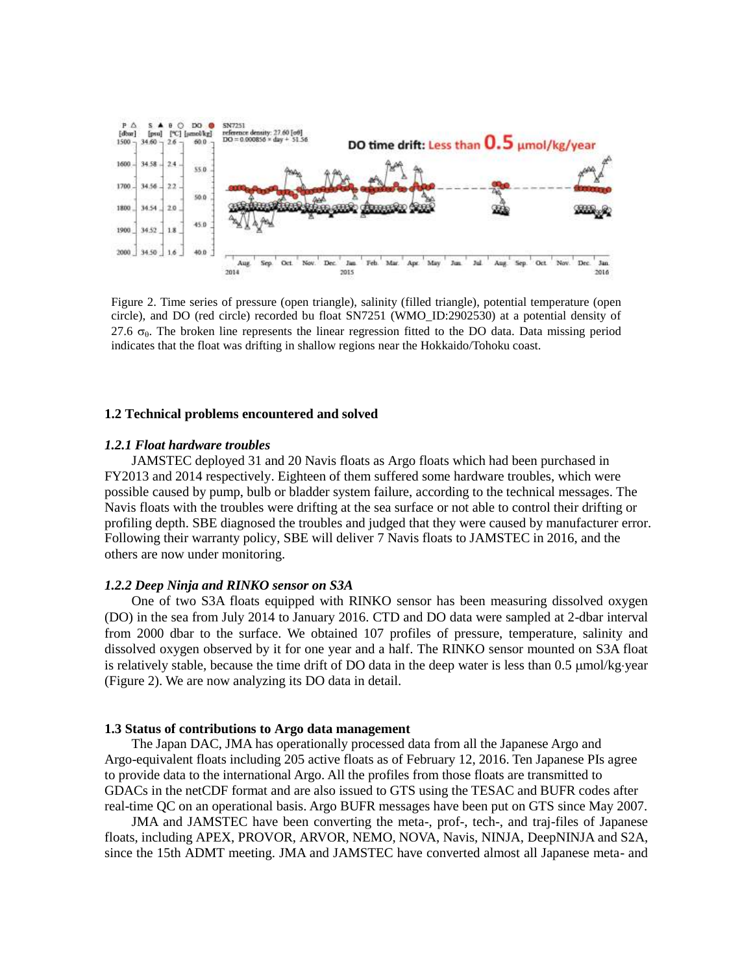

Figure 2. Time series of pressure (open triangle), salinity (filled triangle), potential temperature (open circle), and DO (red circle) recorded bu float SN7251 (WMO\_ID:2902530) at a potential density of 27.6  $\sigma_{\theta}$ . The broken line represents the linear regression fitted to the DO data. Data missing period indicates that the float was drifting in shallow regions near the Hokkaido/Tohoku coast.

#### **1.2 Technical problems encountered and solved**

### *1.2.1 Float hardware troubles*

JAMSTEC deployed 31 and 20 Navis floats as Argo floats which had been purchased in FY2013 and 2014 respectively. Eighteen of them suffered some hardware troubles, which were possible caused by pump, bulb or bladder system failure, according to the technical messages. The Navis floats with the troubles were drifting at the sea surface or not able to control their drifting or profiling depth. SBE diagnosed the troubles and judged that they were caused by manufacturer error. Following their warranty policy, SBE will deliver 7 Navis floats to JAMSTEC in 2016, and the others are now under monitoring.

#### *1.2.2 Deep Ninja and RINKO sensor on S3A*

One of two S3A floats equipped with RINKO sensor has been measuring dissolved oxygen (DO) in the sea from July 2014 to January 2016. CTD and DO data were sampled at 2-dbar interval from 2000 dbar to the surface. We obtained 107 profiles of pressure, temperature, salinity and dissolved oxygen observed by it for one year and a half. The RINKO sensor mounted on S3A float is relatively stable, because the time drift of DO data in the deep water is less than  $0.5 \mu \text{mol/kg-year}$ (Figure 2). We are now analyzing its DO data in detail.

### **1.3 Status of contributions to Argo data management**

The Japan DAC, JMA has operationally processed data from all the Japanese Argo and Argo-equivalent floats including 205 active floats as of February 12, 2016. Ten Japanese PIs agree to provide data to the international Argo. All the profiles from those floats are transmitted to GDACs in the netCDF format and are also issued to GTS using the TESAC and BUFR codes after real-time QC on an operational basis. Argo BUFR messages have been put on GTS since May 2007.

JMA and JAMSTEC have been converting the meta-, prof-, tech-, and traj-files of Japanese floats, including APEX, PROVOR, ARVOR, NEMO, NOVA, Navis, NINJA, DeepNINJA and S2A, since the 15th ADMT meeting. JMA and JAMSTEC have converted almost all Japanese meta- and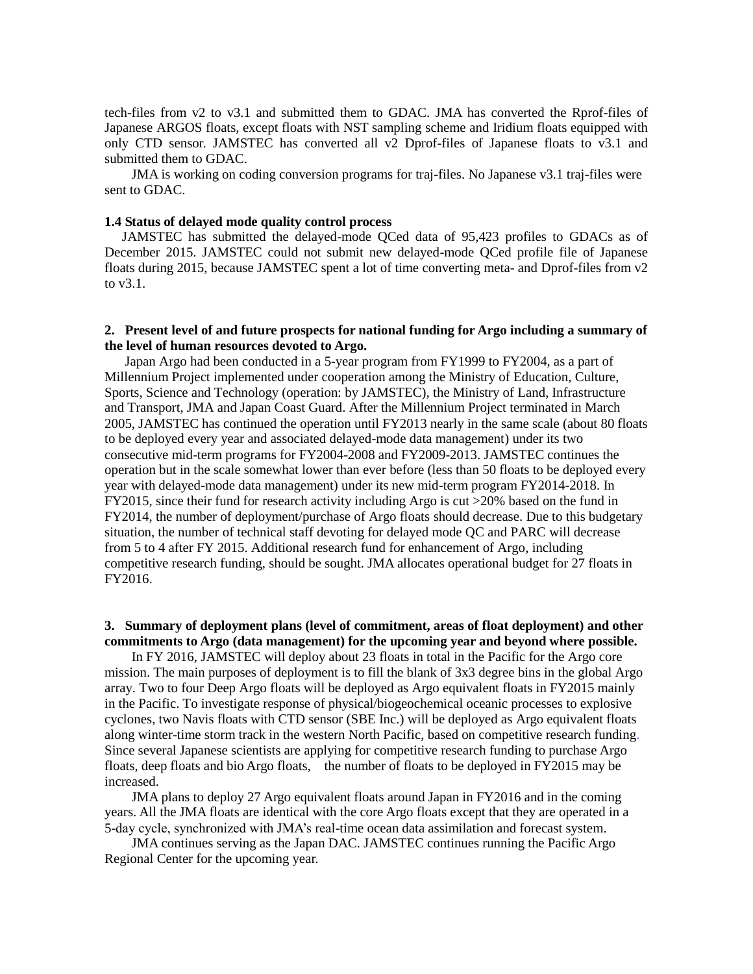tech-files from v2 to v3.1 and submitted them to GDAC. JMA has converted the Rprof-files of Japanese ARGOS floats, except floats with NST sampling scheme and Iridium floats equipped with only CTD sensor. JAMSTEC has converted all v2 Dprof-files of Japanese floats to v3.1 and submitted them to GDAC.

JMA is working on coding conversion programs for traj-files. No Japanese v3.1 traj-files were sent to GDAC.

#### **1.4 Status of delayed mode quality control process**

JAMSTEC has submitted the delayed-mode QCed data of 95,423 profiles to GDACs as of December 2015. JAMSTEC could not submit new delayed-mode QCed profile file of Japanese floats during 2015, because JAMSTEC spent a lot of time converting meta- and Dprof-files from v2 to v3.1.

### **2. Present level of and future prospects for national funding for Argo including a summary of the level of human resources devoted to Argo.**

 Japan Argo had been conducted in a 5-year program from FY1999 to FY2004, as a part of Millennium Project implemented under cooperation among the Ministry of Education, Culture, Sports, Science and Technology (operation: by JAMSTEC), the Ministry of Land, Infrastructure and Transport, JMA and Japan Coast Guard. After the Millennium Project terminated in March 2005, JAMSTEC has continued the operation until FY2013 nearly in the same scale (about 80 floats to be deployed every year and associated delayed-mode data management) under its two consecutive mid-term programs for FY2004-2008 and FY2009-2013. JAMSTEC continues the operation but in the scale somewhat lower than ever before (less than 50 floats to be deployed every year with delayed-mode data management) under its new mid-term program FY2014-2018. In FY2015, since their fund for research activity including Argo is cut >20% based on the fund in FY2014, the number of deployment/purchase of Argo floats should decrease. Due to this budgetary situation, the number of technical staff devoting for delayed mode QC and PARC will decrease from 5 to 4 after FY 2015. Additional research fund for enhancement of Argo, including competitive research funding, should be sought. JMA allocates operational budget for 27 floats in FY2016.

# **3. Summary of deployment plans (level of commitment, areas of float deployment) and other commitments to Argo (data management) for the upcoming year and beyond where possible.**

 In FY 2016, JAMSTEC will deploy about 23 floats in total in the Pacific for the Argo core mission. The main purposes of deployment is to fill the blank of 3x3 degree bins in the global Argo array. Two to four Deep Argo floats will be deployed as Argo equivalent floats in FY2015 mainly in the Pacific. To investigate response of physical/biogeochemical oceanic processes to explosive cyclones, two Navis floats with CTD sensor (SBE Inc.) will be deployed as Argo equivalent floats along winter-time storm track in the western North Pacific, based on competitive research funding. Since several Japanese scientists are applying for competitive research funding to purchase Argo floats, deep floats and bio Argo floats, the number of floats to be deployed in FY2015 may be increased.

JMA plans to deploy 27 Argo equivalent floats around Japan in FY2016 and in the coming years. All the JMA floats are identical with the core Argo floats except that they are operated in a 5-day cycle, synchronized with JMA's real-time ocean data assimilation and forecast system.

JMA continues serving as the Japan DAC. JAMSTEC continues running the Pacific Argo Regional Center for the upcoming year.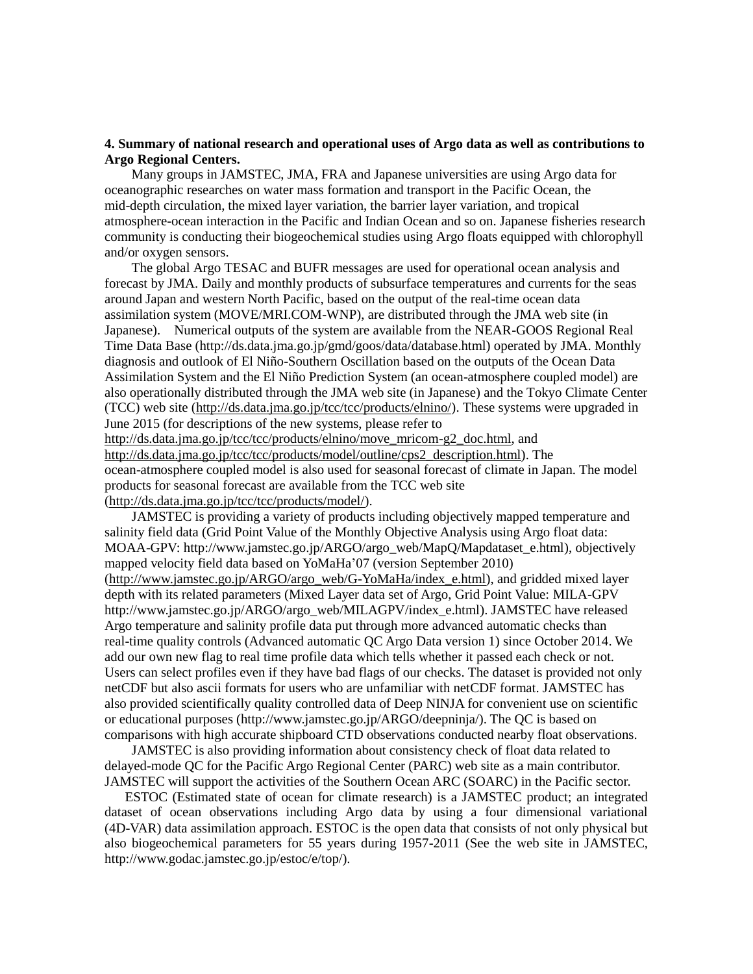## **4. Summary of national research and operational uses of Argo data as well as contributions to Argo Regional Centers.**

Many groups in JAMSTEC, JMA, FRA and Japanese universities are using Argo data for oceanographic researches on water mass formation and transport in the Pacific Ocean, the mid-depth circulation, the mixed layer variation, the barrier layer variation, and tropical atmosphere-ocean interaction in the Pacific and Indian Ocean and so on. Japanese fisheries research community is conducting their biogeochemical studies using Argo floats equipped with chlorophyll and/or oxygen sensors.

The global Argo TESAC and BUFR messages are used for operational ocean analysis and forecast by JMA. Daily and monthly products of subsurface temperatures and currents for the seas around Japan and western North Pacific, based on the output of the real-time ocean data assimilation system (MOVE/MRI.COM-WNP), are distributed through the JMA web site (in Japanese). Numerical outputs of the system are available from the NEAR-GOOS Regional Real Time Data Base (http://ds.data.jma.go.jp/gmd/goos/data/database.html) operated by JMA. Monthly diagnosis and outlook of El Niño-Southern Oscillation based on the outputs of the Ocean Data Assimilation System and the El Niño Prediction System (an ocean-atmosphere coupled model) are also operationally distributed through the JMA web site (in Japanese) and the Tokyo Climate Center (TCC) web site [\(http://ds.data.jma.go.jp/tcc/tcc/products/elnino/\)](http://ds.data.jma.go.jp/tcc/tcc/products/elnino/). These systems were upgraded in June 2015 (for descriptions of the new systems, please refer to [http://ds.data.jma.go.jp/tcc/tcc/products/elnino/move\\_mricom-g2\\_doc.html,](http://ds.data.jma.go.jp/tcc/tcc/products/elnino/move_mricom-g2_doc.html) and [http://ds.data.jma.go.jp/tcc/tcc/products/model/outline/cps2\\_description.html\)](http://ds.data.jma.go.jp/tcc/tcc/products/model/outline/cps2_description.html). The

ocean-atmosphere coupled model is also used for seasonal forecast of climate in Japan. The model products for seasonal forecast are available from the TCC web site [\(http://ds.data.jma.go.jp/tcc/tcc/products/model/\)](http://ds.data.jma.go.jp/tcc/tcc/products/model/).

JAMSTEC is providing a variety of products including objectively mapped temperature and salinity field data (Grid Point Value of the Monthly Objective Analysis using Argo float data: MOAA-GPV: http://www.jamstec.go.jp/ARGO/argo\_web/MapQ/Mapdataset\_e.html), objectively mapped velocity field data based on YoMaHa'07 (version September 2010) [\(http://www.jamstec.go.jp/ARGO/argo\\_web/G-YoMaHa/index\\_e.html\)](http://www.jamstec.go.jp/ARGO/argo_web/G-YoMaHa/index_e.html), and gridded mixed layer depth with its related parameters (Mixed Layer data set of Argo, Grid Point Value: MILA-GPV http://www.jamstec.go.jp/ARGO/argo\_web/MILAGPV/index\_e.html). JAMSTEC have released Argo temperature and salinity profile data put through more advanced automatic checks than real-time quality controls (Advanced automatic QC Argo Data version 1) since October 2014. We add our own new flag to real time profile data which tells whether it passed each check or not. Users can select profiles even if they have bad flags of our checks. The dataset is provided not only netCDF but also ascii formats for users who are unfamiliar with netCDF format. JAMSTEC has also provided scientifically quality controlled data of Deep NINJA for convenient use on scientific or educational purposes (http://www.jamstec.go.jp/ARGO/deepninja/). The QC is based on comparisons with high accurate shipboard CTD observations conducted nearby float observations.

JAMSTEC is also providing information about consistency check of float data related to delayed-mode QC for the Pacific Argo Regional Center (PARC) web site as a main contributor. JAMSTEC will support the activities of the Southern Ocean ARC (SOARC) in the Pacific sector.

ESTOC (Estimated state of ocean for climate research) is a JAMSTEC product; an integrated dataset of ocean observations including Argo data by using a four dimensional variational (4D-VAR) data assimilation approach. ESTOC is the open data that consists of not only physical but also biogeochemical parameters for 55 years during 1957-2011 (See the web site in JAMSTEC, http://www.godac.jamstec.go.jp/estoc/e/top/).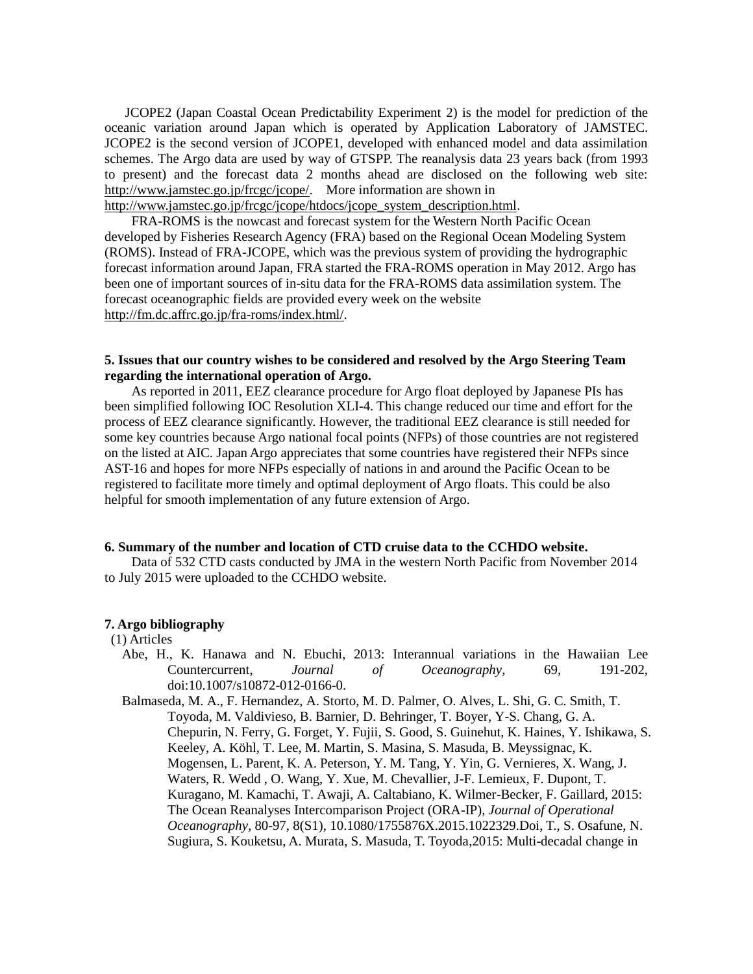JCOPE2 (Japan Coastal Ocean Predictability Experiment 2) is the model for prediction of the oceanic variation around Japan which is operated by Application Laboratory of JAMSTEC. JCOPE2 is the second version of JCOPE1, developed with enhanced model and data assimilation schemes. The Argo data are used by way of GTSPP. The reanalysis data 23 years back (from 1993 to present) and the forecast data 2 months ahead are disclosed on the following web site: http://www.jamstec.go.jp/frcgc/jcope/. More information are shown in

http://www.jamstec.go.jp/frcgc/jcope/htdocs/jcope\_system\_description.html.

FRA-ROMS is the nowcast and forecast system for the Western North Pacific Ocean developed by Fisheries Research Agency (FRA) based on the Regional Ocean Modeling System (ROMS). Instead of FRA-JCOPE, which was the previous system of providing the hydrographic forecast information around Japan, FRA started the FRA-ROMS operation in May 2012. Argo has been one of important sources of in-situ data for the FRA-ROMS data assimilation system. The forecast oceanographic fields are provided every week on the website [http://fm.dc.affrc.go.jp/fra-roms/index.html/.](http://fm.dc.affrc.go.jp/fra-roms/index.html/)

# **5. Issues that our country wishes to be considered and resolved by the Argo Steering Team regarding the international operation of Argo.**

As reported in 2011, EEZ clearance procedure for Argo float deployed by Japanese PIs has been simplified following IOC Resolution XLI-4. This change reduced our time and effort for the process of EEZ clearance significantly. However, the traditional EEZ clearance is still needed for some key countries because Argo national focal points (NFPs) of those countries are not registered on the listed at AIC. Japan Argo appreciates that some countries have registered their NFPs since AST-16 and hopes for more NFPs especially of nations in and around the Pacific Ocean to be registered to facilitate more timely and optimal deployment of Argo floats. This could be also helpful for smooth implementation of any future extension of Argo.

### **6. Summary of the number and location of CTD cruise data to the CCHDO website.**

Data of 532 CTD casts conducted by JMA in the western North Pacific from November 2014 to July 2015 were uploaded to the CCHDO website.

### **7. Argo bibliography**

#### (1) Articles

- Abe, H., K. Hanawa and N. Ebuchi, 2013: Interannual variations in the Hawaiian Lee Countercurrent, *Journal of Oceanography*, 69, 191-202, doi:10.1007/s10872-012-0166-0.
- Balmaseda, M. A., F. Hernandez, A. Storto, M. D. Palmer, O. Alves, L. Shi, G. C. Smith, T. Toyoda, M. Valdivieso, B. Barnier, D. Behringer, T. Boyer, Y-S. Chang, G. A. Chepurin, N. Ferry, G. Forget, Y. Fujii, S. Good, S. Guinehut, K. Haines, Y. Ishikawa, S. Keeley, A. Köhl, T. Lee, M. Martin, S. Masina, S. Masuda, B. Meyssignac, K. Mogensen, L. Parent, K. A. Peterson, Y. M. Tang, Y. Yin, G. Vernieres, X. Wang, J. Waters, R. Wedd , O. Wang, Y. Xue, M. Chevallier, J-F. Lemieux, F. Dupont, T. Kuragano, M. Kamachi, T. Awaji, A. Caltabiano, K. Wilmer-Becker, F. Gaillard, 2015: The Ocean Reanalyses Intercomparison Project (ORA-IP), *Journal of Operational Oceanography*, 80-97, 8(S1), 10.1080/1755876X.2015.1022329.Doi, T., S. Osafune, N. Sugiura, S. Kouketsu, A. Murata, S. Masuda, T. Toyoda,2015: Multi-decadal change in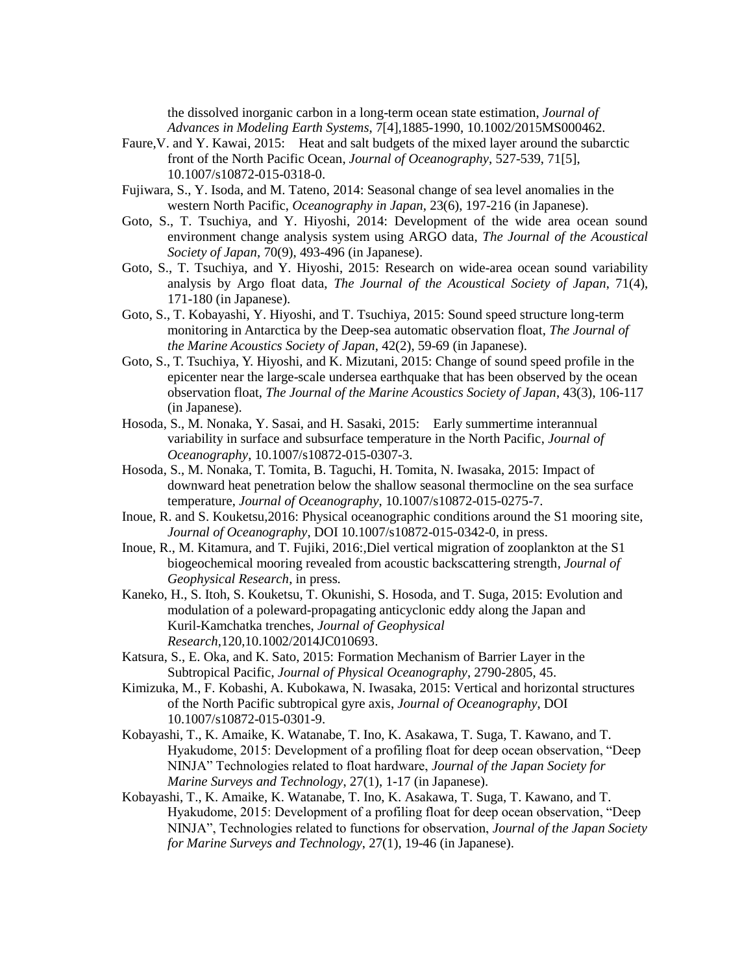the dissolved inorganic carbon in a long-term ocean state estimation, *Journal of Advances in Modeling Earth Systems*, 7[4],1885-1990, 10.1002/2015MS000462.

- Faure,V. and Y. Kawai, 2015: Heat and salt budgets of the mixed layer around the subarctic front of the North Pacific Ocean, *Journal of Oceanography*, 527-539, 71[5], 10.1007/s10872-015-0318-0.
- Fujiwara, S., Y. Isoda, and M. Tateno, 2014: Seasonal change of sea level anomalies in the western North Pacific, *Oceanography in Japan*, 23(6), 197-216 (in Japanese).
- Goto, S., T. Tsuchiya, and Y. Hiyoshi, 2014: Development of the wide area ocean sound environment change analysis system using ARGO data, *The Journal of the Acoustical Society of Japan*, 70(9), 493-496 (in Japanese).
- Goto, S., T. Tsuchiya, and Y. Hiyoshi, 2015: Research on wide-area ocean sound variability analysis by Argo float data, *The Journal of the Acoustical Society of Japan*, 71(4), 171-180 (in Japanese).
- Goto, S., T. Kobayashi, Y. Hiyoshi, and T. Tsuchiya, 2015: Sound speed structure long-term monitoring in Antarctica by the Deep-sea automatic observation float, *The Journal of the Marine Acoustics Society of Japan*, 42(2), 59-69 (in Japanese).
- Goto, S., T. Tsuchiya, Y. Hiyoshi, and K. Mizutani, 2015: Change of sound speed profile in the epicenter near the large-scale undersea earthquake that has been observed by the ocean observation float, *The Journal of the Marine Acoustics Society of Japan*, 43(3), 106-117 (in Japanese).
- Hosoda, S., M. Nonaka, Y. Sasai, and H. Sasaki, 2015: Early summertime interannual variability in surface and subsurface temperature in the North Pacific, *Journal of Oceanography*, 10.1007/s10872-015-0307-3.
- Hosoda, S., M. Nonaka, T. Tomita, B. Taguchi, H. Tomita, N. Iwasaka, 2015: Impact of downward heat penetration below the shallow seasonal thermocline on the sea surface temperature, *Journal of Oceanography*, 10.1007/s10872-015-0275-7.
- Inoue, R. and S. Kouketsu,2016: Physical oceanographic conditions around the S1 mooring site, *Journal of Oceanography*, DOI 10.1007/s10872-015-0342-0, in press.
- Inoue, R., M. Kitamura, and T. Fujiki, 2016:,Diel vertical migration of zooplankton at the S1 biogeochemical mooring revealed from acoustic backscattering strength, *Journal of Geophysical Research*, in press.
- Kaneko, H., S. Itoh, S. Kouketsu, T. Okunishi, S. Hosoda, and T. Suga, 2015: Evolution and modulation of a poleward-propagating anticyclonic eddy along the Japan and Kuril-Kamchatka trenches, *Journal of Geophysical Research*,120,10.1002/2014JC010693.
- Katsura, S., E. Oka, and K. Sato, 2015: Formation Mechanism of Barrier Layer in the Subtropical Pacific, *Journal of Physical Oceanography*, 2790-2805, 45.
- Kimizuka, M., F. Kobashi, A. Kubokawa, N. Iwasaka, 2015: Vertical and horizontal structures of the North Pacific subtropical gyre axis, *Journal of Oceanography*, DOI 10.1007/s10872-015-0301-9.
- Kobayashi, T., K. Amaike, K. Watanabe, T. Ino, K. Asakawa, T. Suga, T. Kawano, and T. Hyakudome, 2015: Development of a profiling float for deep ocean observation, "Deep NINJA" Technologies related to float hardware, *Journal of the Japan Society for Marine Surveys and Technology*, 27(1), 1-17 (in Japanese).
- Kobayashi, T., K. Amaike, K. Watanabe, T. Ino, K. Asakawa, T. Suga, T. Kawano, and T. Hyakudome, 2015: Development of a profiling float for deep ocean observation, "Deep NINJA", Technologies related to functions for observation, *Journal of the Japan Society for Marine Surveys and Technology*, 27(1), 19-46 (in Japanese).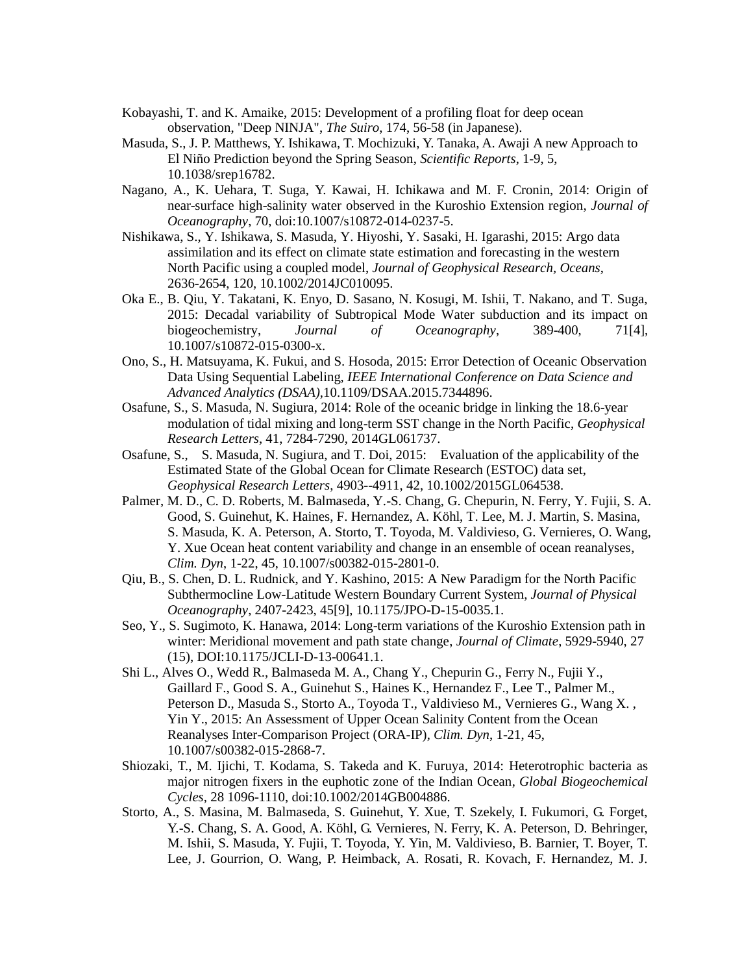- Kobayashi, T. and K. Amaike, 2015: Development of a profiling float for deep ocean observation, "Deep NINJA", *The Suiro*, 174, 56-58 (in Japanese).
- Masuda, S., J. P. Matthews, Y. Ishikawa, T. Mochizuki, Y. Tanaka, A. Awaji A new Approach to El Niño Prediction beyond the Spring Season, *Scientific Reports*, 1-9, 5, 10.1038/srep16782.
- Nagano, A., K. Uehara, T. Suga, Y. Kawai, H. Ichikawa and M. F. Cronin, 2014: Origin of near-surface high-salinity water observed in the Kuroshio Extension region, *Journal of Oceanography*, 70, doi:10.1007/s10872-014-0237-5.
- Nishikawa, S., Y. Ishikawa, S. Masuda, Y. Hiyoshi, Y. Sasaki, H. Igarashi, 2015: Argo data assimilation and its effect on climate state estimation and forecasting in the western North Pacific using a coupled model, *Journal of Geophysical Research, Oceans*, 2636-2654, 120, 10.1002/2014JC010095.
- Oka E., B. Qiu, Y. Takatani, K. Enyo, D. Sasano, N. Kosugi, M. Ishii, T. Nakano, and T. Suga, 2015: Decadal variability of Subtropical Mode Water subduction and its impact on biogeochemistry, *Journal of Oceanography*, 389-400, 71[4], 10.1007/s10872-015-0300-x.
- Ono, S., H. Matsuyama, K. Fukui, and S. Hosoda, 2015: Error Detection of Oceanic Observation Data Using Sequential Labeling, *IEEE International Conference on Data Science and Advanced Analytics (DSAA)*,10.1109/DSAA.2015.7344896.
- Osafune, S., S. Masuda, N. Sugiura, 2014: Role of the oceanic bridge in linking the 18.6-year modulation of tidal mixing and long-term SST change in the North Pacific, *Geophysical Research Letters*, 41, 7284-7290, 2014GL061737.
- Osafune, S., S. Masuda, N. Sugiura, and T. Doi, 2015: Evaluation of the applicability of the Estimated State of the Global Ocean for Climate Research (ESTOC) data set, *Geophysical Research Letters*, 4903--4911, 42, 10.1002/2015GL064538.
- Palmer, M. D., C. D. Roberts, M. Balmaseda, Y.-S. Chang, G. Chepurin, N. Ferry, Y. Fujii, S. A. Good, S. Guinehut, K. Haines, F. Hernandez, A. Köhl, T. Lee, M. J. Martin, S. Masina, S. Masuda, K. A. Peterson, A. Storto, T. Toyoda, M. Valdivieso, G. Vernieres, O. Wang, Y. Xue Ocean heat content variability and change in an ensemble of ocean reanalyses, *Clim. Dyn*, 1-22, 45, 10.1007/s00382-015-2801-0.
- Qiu, B., S. Chen, D. L. Rudnick, and Y. Kashino, 2015: A New Paradigm for the North Pacific Subthermocline Low-Latitude Western Boundary Current System, *Journal of Physical Oceanography*, 2407-2423, 45[9], 10.1175/JPO-D-15-0035.1.
- Seo, Y., S. Sugimoto, K. Hanawa, 2014: Long-term variations of the Kuroshio Extension path in winter: Meridional movement and path state change, *Journal of Climate*, 5929-5940, 27 (15), DOI:10.1175/JCLI-D-13-00641.1.
- Shi L., Alves O., Wedd R., Balmaseda M. A., Chang Y., Chepurin G., Ferry N., Fujii Y., Gaillard F., Good S. A., Guinehut S., Haines K., Hernandez F., Lee T., Palmer M., Peterson D., Masuda S., Storto A., Toyoda T., Valdivieso M., Vernieres G., Wang X. , Yin Y., 2015: An Assessment of Upper Ocean Salinity Content from the Ocean Reanalyses Inter-Comparison Project (ORA-IP), *Clim. Dyn*, 1-21, 45, 10.1007/s00382-015-2868-7.
- Shiozaki, T., M. Ijichi, T. Kodama, S. Takeda and K. Furuya, 2014: Heterotrophic bacteria as major nitrogen fixers in the euphotic zone of the Indian Ocean, *Global Biogeochemical Cycles*, 28 1096-1110, doi:10.1002/2014GB004886.
- Storto, A., S. Masina, M. Balmaseda, S. Guinehut, Y. Xue, T. Szekely, I. Fukumori, G. Forget, Y.-S. Chang, S. A. Good, A. Köhl, G. Vernieres, N. Ferry, K. A. Peterson, D. Behringer, M. Ishii, S. Masuda, Y. Fujii, T. Toyoda, Y. Yin, M. Valdivieso, B. Barnier, T. Boyer, T. Lee, J. Gourrion, O. Wang, P. Heimback, A. Rosati, R. Kovach, F. Hernandez, M. J.